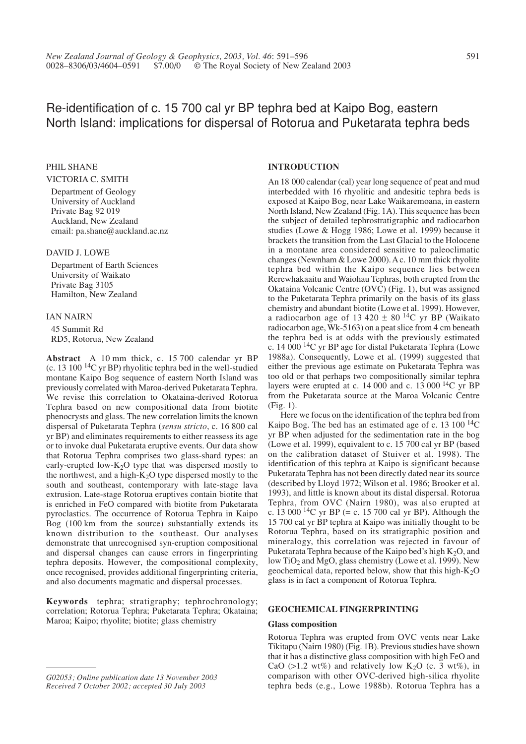# Re-identification of c. 15 700 cal yr BP tephra bed at Kaipo Bog, eastern North Island: implications for dispersal of Rotorua and Puketarata tephra beds

### PHIL SHANE

### VICTORIA C. SMITH

Department of Geology University of Auckland Private Bag 92 019 Auckland, New Zealand email: pa.shane@auckland.ac.nz

### DAVID J. LOWE

Department of Earth Sciences University of Waikato Private Bag 3105 Hamilton, New Zealand

### IAN NAIRN

45 Summit Rd RD5, Rotorua, New Zealand

**Abstract** A 10 mm thick, c. 15 700 calendar yr BP (c. 13 100 14C yr BP) rhyolitic tephra bed in the well-studied montane Kaipo Bog sequence of eastern North Island was previously correlated with Maroa-derived Puketarata Tephra. We revise this correlation to Okataina-derived Rotorua Tephra based on new compositional data from biotite phenocrysts and glass. The new correlation limits the known dispersal of Puketarata Tephra (*sensu stricto*, c. 16 800 cal yr BP) and eliminates requirements to either reassess its age or to invoke dual Puketarata eruptive events. Our data show that Rotorua Tephra comprises two glass-shard types: an early-erupted low- $K_2O$  type that was dispersed mostly to the northwest, and a high- $K<sub>2</sub>O$  type dispersed mostly to the south and southeast, contemporary with late-stage lava extrusion. Late-stage Rotorua eruptives contain biotite that is enriched in FeO compared with biotite from Puketarata pyroclastics. The occurrence of Rotorua Tephra in Kaipo Bog (100 km from the source) substantially extends its known distribution to the southeast. Our analyses demonstrate that unrecognised syn-eruption compositional and dispersal changes can cause errors in fingerprinting tephra deposits. However, the compositional complexity, once recognised, provides additional fingerprinting criteria, and also documents magmatic and dispersal processes.

**Keywords** tephra; stratigraphy; tephrochronology; correlation; Rotorua Tephra; Puketarata Tephra; Okataina; Maroa; Kaipo; rhyolite; biotite; glass chemistry

### **INTRODUCTION**

An 18 000 calendar (cal) year long sequence of peat and mud interbedded with 16 rhyolitic and andesitic tephra beds is exposed at Kaipo Bog, near Lake Waikaremoana, in eastern North Island, New Zealand (Fig. 1A). This sequence has been the subject of detailed tephrostratigraphic and radiocarbon studies (Lowe & Hogg 1986; Lowe et al. 1999) because it brackets the transition from the Last Glacial to the Holocene in a montane area considered sensitive to paleoclimatic changes (Newnham & Lowe 2000). A c. 10 mm thick rhyolite tephra bed within the Kaipo sequence lies between Rerewhakaaitu and Waiohau Tephras, both erupted from the Okataina Volcanic Centre (OVC) (Fig. 1), but was assigned to the Puketarata Tephra primarily on the basis of its glass chemistry and abundant biotite (Lowe et al. 1999). However, a radiocarbon age of 13 420  $\pm$  80 <sup>14</sup>C yr BP (Waikato radiocarbon age, Wk-5163) on a peat slice from 4 cm beneath the tephra bed is at odds with the previously estimated c. 14 000  $^{14}$ C yr BP age for distal Puketarata Tephra (Lowe 1988a). Consequently, Lowe et al. (1999) suggested that either the previous age estimate on Puketarata Tephra was too old or that perhaps two compositionally similar tephra layers were erupted at c.  $14\,000$  and c.  $13\,000$   $^{14}$ C yr BP from the Puketarata source at the Maroa Volcanic Centre (Fig. 1).

Here we focus on the identification of the tephra bed from Kaipo Bog. The bed has an estimated age of c. 13 100 14C yr BP when adjusted for the sedimentation rate in the bog (Lowe et al. 1999), equivalent to c. 15 700 cal yr BP (based on the calibration dataset of Stuiver et al. 1998). The identification of this tephra at Kaipo is significant because Puketarata Tephra has not been directly dated near its source (described by Lloyd 1972; Wilson et al. 1986; Brooker et al. 1993), and little is known about its distal dispersal. Rotorua Tephra, from OVC (Nairn 1980), was also erupted at c. 13 000  $^{14}$ C yr BP (= c. 15 700 cal yr BP). Although the 15 700 cal yr BP tephra at Kaipo was initially thought to be Rotorua Tephra, based on its stratigraphic position and mineralogy, this correlation was rejected in favour of Puketarata Tephra because of the Kaipo bed's high  $K_2O$ , and low TiO<sub>2</sub> and MgO, glass chemistry (Lowe et al. 1999). New geochemical data, reported below, show that this high-K2O glass is in fact a component of Rotorua Tephra.

### **GEOCHEMICAL FINGERPRINTING**

### **Glass composition**

Rotorua Tephra was erupted from OVC vents near Lake Tikitapu (Nairn 1980) (Fig. 1B). Previous studies have shown that it has a distinctive glass composition with high FeO and CaO (>1.2 wt%) and relatively low K<sub>2</sub>O (c. 3 wt%), in comparison with other OVC-derived high-silica rhyolite tephra beds (e.g., Lowe 1988b). Rotorua Tephra has a

*G02053; Online publication date 13 November 2003 Received 7 October 2002; accepted 30 July 2003*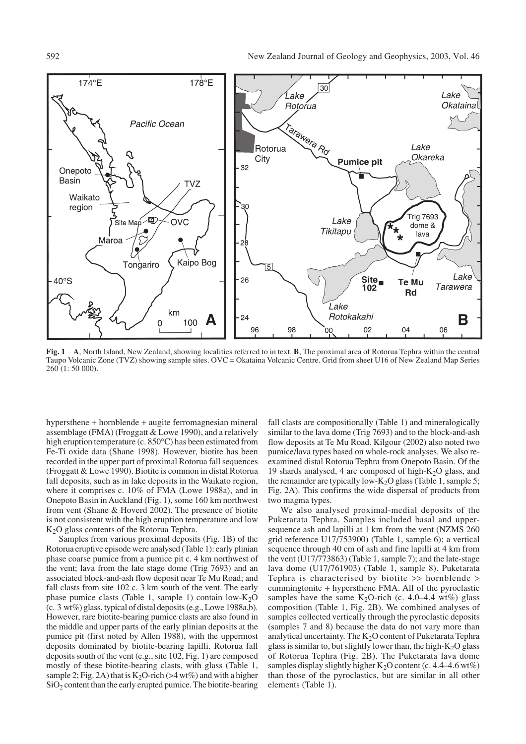

**Fig. 1 A**, North Island, New Zealand, showing localities referred to in text. **B**, The proximal area of Rotorua Tephra within the central Taupo Volcanic Zone (TVZ) showing sample sites. OVC = Okataina Volcanic Centre. Grid from sheet U16 of New Zealand Map Series 260 (1: 50 000).

hypersthene + hornblende + augite ferromagnesian mineral assemblage (FMA) (Froggatt & Lowe 1990), and a relatively high eruption temperature (c. 850°C) has been estimated from Fe-Ti oxide data (Shane 1998). However, biotite has been recorded in the upper part of proximal Rotorua fall sequences (Froggatt & Lowe 1990). Biotite is common in distal Rotorua fall deposits, such as in lake deposits in the Waikato region, where it comprises c. 10% of FMA (Lowe 1988a), and in Onepoto Basin in Auckland (Fig. 1), some 160 km northwest from vent (Shane & Hoverd 2002). The presence of biotite is not consistent with the high eruption temperature and low K2O glass contents of the Rotorua Tephra.

Samples from various proximal deposits (Fig. 1B) of the Rotorua eruptive episode were analysed (Table 1): early plinian phase coarse pumice from a pumice pit c. 4 km northwest of the vent; lava from the late stage dome (Trig 7693) and an associated block-and-ash flow deposit near Te Mu Road; and fall clasts from site 102 c. 3 km south of the vent. The early phase pumice clasts (Table 1, sample 1) contain  $low-K<sub>2</sub>O$ (c. 3 wt%) glass, typical of distal deposits (e.g., Lowe 1988a,b). However, rare biotite-bearing pumice clasts are also found in the middle and upper parts of the early plinian deposits at the pumice pit (first noted by Allen 1988), with the uppermost deposits dominated by biotite-bearing lapilli. Rotorua fall deposits south of the vent (e.g., site 102, Fig. 1) are composed mostly of these biotite-bearing clasts, with glass (Table 1, sample 2; Fig. 2A) that is  $K_2O$ -rich (>4 wt%) and with a higher SiO<sub>2</sub> content than the early erupted pumice. The biotite-bearing fall clasts are compositionally (Table 1) and mineralogically similar to the lava dome (Trig 7693) and to the block-and-ash flow deposits at Te Mu Road. Kilgour (2002) also noted two pumice/lava types based on whole-rock analyses. We also reexamined distal Rotorua Tephra from Onepoto Basin. Of the 19 shards analysed, 4 are composed of high- $K_2O$  glass, and the remainder are typically low- $K<sub>2</sub>O$  glass (Table 1, sample 5; Fig. 2A). This confirms the wide dispersal of products from two magma types.

We also analysed proximal-medial deposits of the Puketarata Tephra. Samples included basal and uppersequence ash and lapilli at 1 km from the vent (NZMS 260 grid reference U17/753900) (Table 1, sample 6); a vertical sequence through 40 cm of ash and fine lapilli at 4 km from the vent (U17/773863) (Table 1, sample 7); and the late-stage lava dome (U17/761903) (Table 1, sample 8). Puketarata Tephra is characterised by biotite >> hornblende > cummingtonite + hypersthene FMA. All of the pyroclastic samples have the same K<sub>2</sub>O-rich (c. 4.0–4.4 wt%) glass composition (Table 1, Fig. 2B). We combined analyses of samples collected vertically through the pyroclastic deposits (samples 7 and 8) because the data do not vary more than analytical uncertainty. The  $K<sub>2</sub>O$  content of Puketarata Tephra glass is similar to, but slightly lower than, the high- $K<sub>2</sub>O$  glass of Rotorua Tephra (Fig. 2B). The Puketarata lava dome samples display slightly higher  $K_2O$  content (c. 4.4–4.6 wt%) than those of the pyroclastics, but are similar in all other elements (Table 1).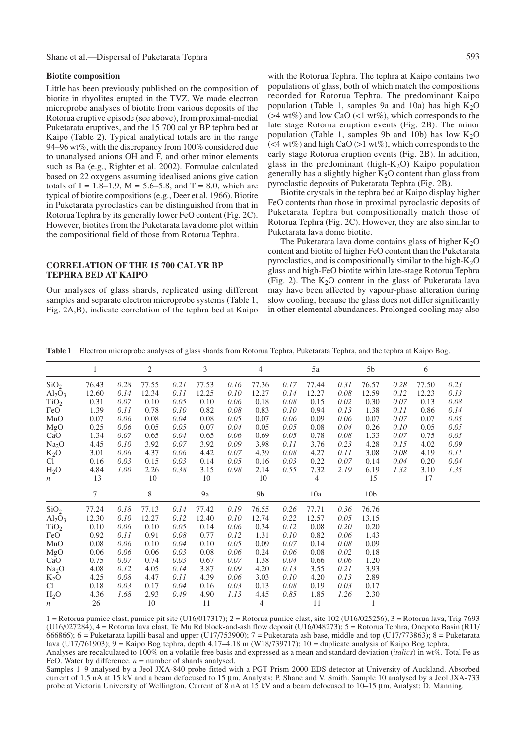## Shane et al.—Dispersal of Puketarata Tephra 593

### **Biotite composition**

Little has been previously published on the composition of biotite in rhyolites erupted in the TVZ. We made electron microprobe analyses of biotite from various deposits of the Rotorua eruptive episode (see above), from proximal-medial Puketarata eruptives, and the 15 700 cal yr BP tephra bed at Kaipo (Table 2). Typical analytical totals are in the range 94–96 wt%, with the discrepancy from 100% considered due to unanalysed anions OH and F, and other minor elements such as Ba (e.g., Righter et al. 2002). Formulae calculated based on 22 oxygens assuming idealised anions give cation totals of I = 1.8–1.9,  $M = 5.6$ –5.8, and T = 8.0, which are typical of biotite compositions (e.g., Deer et al. 1966). Biotite in Puketarata pyroclastics can be distinguished from that in Rotorua Tephra by its generally lower FeO content (Fig. 2C). However, biotites from the Puketarata lava dome plot within the compositional field of those from Rotorua Tephra.

### **CORRELATION OF THE 15 700 CAL YR BP TEPHRA BED AT KAIPO**

Our analyses of glass shards, replicated using different samples and separate electron microprobe systems (Table 1, Fig. 2A,B), indicate correlation of the tephra bed at Kaipo

with the Rotorua Tephra. The tephra at Kaipo contains two populations of glass, both of which match the compositions recorded for Rotorua Tephra. The predominant Kaipo population (Table 1, samples 9a and 10a) has high  $K_2O$  $($  >4 wt%) and low CaO  $($  < 1 wt%), which corresponds to the late stage Rotorua eruption events (Fig. 2B). The minor population (Table 1, samples 9b and 10b) has low  $K_2O$  $(<4 wt\%)$  and high CaO (>1 wt%), which corresponds to the early stage Rotorua eruption events (Fig. 2B). In addition, glass in the predominant (high-K<sub>2</sub>O) Kaipo population generally has a slightly higher  $K<sub>2</sub>O$  content than glass from pyroclastic deposits of Puketarata Tephra (Fig. 2B).

Biotite crystals in the tephra bed at Kaipo display higher FeO contents than those in proximal pyroclastic deposits of Puketarata Tephra but compositionally match those of Rotorua Tephra (Fig. 2C). However, they are also similar to Puketarata lava dome biotite.

The Puketarata lava dome contains glass of higher  $K_2O$ content and biotite of higher FeO content than the Puketarata pyroclastics, and is compositionally similar to the high- $K<sub>2</sub>O$ glass and high-FeO biotite within late-stage Rotorua Tephra (Fig. 2). The  $K<sub>2</sub>O$  content in the glass of Puketarata lava may have been affected by vapour-phase alteration during slow cooling, because the glass does not differ significantly in other elemental abundances. Prolonged cooling may also

**Table 1** Electron microprobe analyses of glass shards from Rotorua Tephra, Puketarata Tephra, and the tephra at Kaipo Bog.

|                                | 1      |      | $\mathbf{2}$ |      | 3     |      | 4              |      | 5a             |      | $5\mathrm{b}$   |      | 6     |      |  |
|--------------------------------|--------|------|--------------|------|-------|------|----------------|------|----------------|------|-----------------|------|-------|------|--|
| SiO <sub>2</sub>               | 76.43  | 0.28 | 77.55        | 0.21 | 77.53 | 0.16 | 77.36          | 0.17 | 77.44          | 0.31 | 76.57           | 0.28 | 77.50 | 0.23 |  |
| Al <sub>2</sub> O <sub>3</sub> | 12.60  | 0.14 | 12.34        | 0.11 | 12.25 | 0.10 | 12.27          | 0.14 | 12.27          | 0.08 | 12.59           | 0.12 | 12.23 | 0.13 |  |
| TiO <sub>2</sub>               | 0.31   | 0.07 | 0.10         | 0.05 | 0.10  | 0.06 | 0.18           | 0.08 | 0.15           | 0.02 | 0.30            | 0.07 | 0.13  | 0.08 |  |
| FeO                            | 1.39   | 0.11 | 0.78         | 0.10 | 0.82  | 0.08 | 0.83           | 0.10 | 0.94           | 0.13 | 1.38            | 0.11 | 0.86  | 0.14 |  |
| MnO                            | 0.07   | 0.06 | 0.08         | 0.04 | 0.08  | 0.05 | 0.07           | 0.06 | 0.09           | 0.06 | 0.07            | 0.07 | 0.07  | 0.05 |  |
| MgO                            | 0.25   | 0.06 | 0.05         | 0.05 | 0.07  | 0.04 | 0.05           | 0.05 | 0.08           | 0.04 | 0.26            | 0.10 | 0.05  | 0.05 |  |
| CaO                            | 1.34   | 0.07 | 0.65         | 0.04 | 0.65  | 0.06 | 0.69           | 0.05 | 0.78           | 0.08 | 1.33            | 0.07 | 0.75  | 0.05 |  |
| Na <sub>2</sub> O              | 4.45   | 0.10 | 3.92         | 0.07 | 3.92  | 0.09 | 3.98           | 0.11 | 3.76           | 0.23 | 4.28            | 0.15 | 4.02  | 0.09 |  |
| $K_2O$                         | 3.01   | 0.06 | 4.37         | 0.06 | 4.42  | 0.07 | 4.39           | 0.08 | 4.27           | 0.11 | 3.08            | 0.08 | 4.19  | 0.11 |  |
| C <sub>1</sub>                 | 0.16   | 0.03 | 0.15         | 0.03 | 0.14  | 0.05 | 0.16           | 0.03 | 0.22           | 0.07 | 0.14            | 0.04 | 0.20  | 0.04 |  |
| H <sub>2</sub> O               | 4.84   | 1.00 | 2.26         | 0.38 | 3.15  | 0.98 | 2.14           | 0.55 | 7.32           | 2.19 | 6.19            | 1.32 | 3.10  | 1.35 |  |
| $\boldsymbol{n}$               | 13     |      | 10           |      | 10    |      | 10             |      | $\overline{4}$ |      | 15              |      | 17    |      |  |
|                                | $\tau$ |      | 8            |      | 9a    |      | 9 <sub>b</sub> |      | 10a            |      | 10 <sub>b</sub> |      |       |      |  |
| SiO <sub>2</sub>               | 77.24  | 0.18 | 77.13        | 0.14 | 77.42 | 0.19 | 76.55          | 0.26 | 77.71          | 0.36 | 76.76           |      |       |      |  |
| Al <sub>2</sub> O <sub>3</sub> | 12.30  | 0.10 | 12.27        | 0.12 | 12.40 | 0.10 | 12.74          | 0.22 | 12.57          | 0.05 | 13.15           |      |       |      |  |
| TiO <sub>2</sub>               | 0.10   | 0.06 | 0.10         | 0.05 | 0.14  | 0.06 | 0.34           | 0.12 | 0.08           | 0.20 | 0.20            |      |       |      |  |
| FeO                            | 0.92   | 0.11 | 0.91         | 0.08 | 0.77  | 0.12 | 1.31           | 0.10 | 0.82           | 0.06 | 1.43            |      |       |      |  |
| MnO                            | 0.08   | 0.06 | 0.10         | 0.04 | 0.10  | 0.05 | 0.09           | 0.07 | 0.14           | 0.08 | 0.09            |      |       |      |  |
| MgO                            | 0.06   | 0.06 | 0.06         | 0.03 | 0.08  | 0.06 | 0.24           | 0.06 | 0.08           | 0.02 | 0.18            |      |       |      |  |
| CaO                            | 0.75   | 0.07 | 0.74         | 0.03 | 0.67  | 0.07 | 1.38           | 0.04 | 0.66           | 0.06 | 1.20            |      |       |      |  |
| Na <sub>2</sub> O              | 4.08   | 0.12 | 4.05         | 0.14 | 3.87  | 0.09 | 4.20           | 0.13 | 3.55           | 0.21 | 3.93            |      |       |      |  |
| $K_2O$                         | 4.25   | 0.08 | 4.47         | 0.11 | 4.39  | 0.06 | 3.03           | 0.10 | 4.20           | 0.13 | 2.89            |      |       |      |  |
| C <sub>1</sub>                 | 0.18   | 0.03 | 0.17         | 0.04 | 0.16  | 0.03 | 0.13           | 0.08 | 0.19           | 0.03 | 0.17            |      |       |      |  |
| H <sub>2</sub> O               | 4.36   | 1.68 | 2.93         | 0.49 | 4.90  | 1.13 | 4.45           | 0.85 | 1.85           | 1.26 | 2.30            |      |       |      |  |
| $\boldsymbol{n}$               | 26     |      | 10           |      | 11    |      | $\overline{4}$ |      | 11             |      | 1               |      |       |      |  |

 $1 =$  Rotorua pumice clast, pumice pit site (U16/017317); 2 = Rotorua pumice clast, site 102 (U16/025256), 3 = Rotorua lava, Trig 7693 (U16/027284), 4 = Rotorua lava clast, Te Mu Rd block-and-ash flow deposit (U16/048273); 5 = Rotorua Tephra, Onepoto Basin (R11/ 666866);  $6 =$  Puketarata lapilli basal and upper (U17/753900);  $7 =$  Puketarata ash base, middle and top (U17/773863); 8 = Puketarata lava (U17/761903); 9 = Kaipo Bog tephra, depth 4.17–4.18 m (W18/739717); 10 = duplicate analysis of Kaipo Bog tephra. Analyses are recalculated to 100% on a volatile free basis and expressed as a mean and standard deviation (*italics*) in wt%. Total Fe as FeO. Water by difference.  $n =$  number of shards analysed.

Samples 1–9 analysed by a Jeol JXA-840 probe fitted with a PGT Prism 2000 EDS detector at University of Auckland. Absorbed current of 1.5 nA at 15 kV and a beam defocused to 15 mm. Analysts: P. Shane and V. Smith. Sample 10 analysed by a Jeol JXA-733 probe at Victoria University of Wellington. Current of 8 nA at 15 kV and a beam defocused to 10–15 mm. Analyst: D. Manning.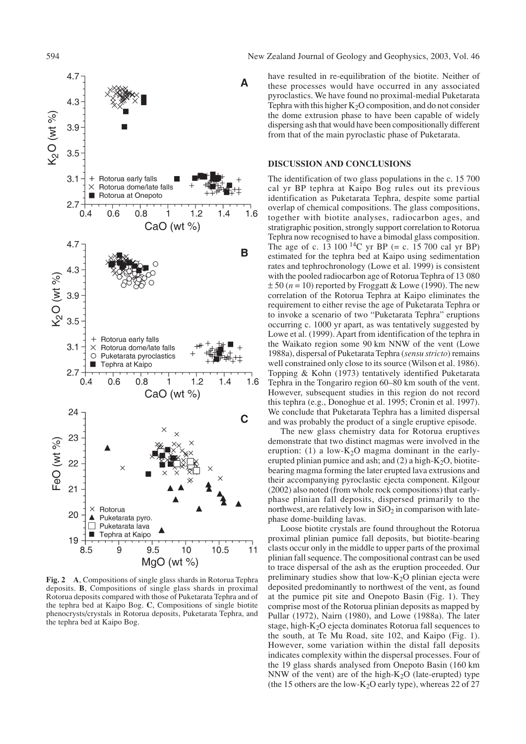

**Fig. 2 A**, Compositions of single glass shards in Rotorua Tephra deposits. **B**, Compositions of single glass shards in proximal Rotorua deposits compared with those of Puketarata Tephra and of the tephra bed at Kaipo Bog. **C**, Compositions of single biotite phenocrysts/crystals in Rotorua deposits, Puketarata Tephra, and the tephra bed at Kaipo Bog.

594 New Zealand Journal of Geology and Geophysics, 2003, Vol. 46

have resulted in re-equilibration of the biotite. Neither of these processes would have occurred in any associated pyroclastics. We have found no proximal-medial Puketarata Tephra with this higher  $K_2O$  composition, and do not consider the dome extrusion phase to have been capable of widely dispersing ash that would have been compositionally different from that of the main pyroclastic phase of Puketarata.

#### **DISCUSSION AND CONCLUSIONS**

The identification of two glass populations in the c. 15 700 cal yr BP tephra at Kaipo Bog rules out its previous identification as Puketarata Tephra, despite some partial overlap of chemical compositions. The glass compositions, together with biotite analyses, radiocarbon ages, and stratigraphic position, strongly support correlation to Rotorua Tephra now recognised to have a bimodal glass composition. The age of c. 13 100 <sup>14</sup>C yr BP (= c. 15 700 cal yr BP) estimated for the tephra bed at Kaipo using sedimentation rates and tephrochronology (Lowe et al. 1999) is consistent with the pooled radiocarbon age of Rotorua Tephra of 13 080  $\pm 50$  ( $n = 10$ ) reported by Froggatt & Lowe (1990). The new correlation of the Rotorua Tephra at Kaipo eliminates the requirement to either revise the age of Puketarata Tephra or to invoke a scenario of two "Puketarata Tephra" eruptions occurring c. 1000 yr apart, as was tentatively suggested by Lowe et al. (1999). Apart from identification of the tephra in the Waikato region some 90 km NNW of the vent (Lowe 1988a), dispersal of Puketarata Tephra (*sensu stricto*) remains well constrained only close to its source (Wilson et al. 1986). Topping & Kohn (1973) tentatively identified Puketarata Tephra in the Tongariro region 60–80 km south of the vent. However, subsequent studies in this region do not record this tephra (e.g., Donoghue et al. 1995; Cronin et al. 1997). We conclude that Puketarata Tephra has a limited dispersal and was probably the product of a single eruptive episode.

The new glass chemistry data for Rotorua eruptives demonstrate that two distinct magmas were involved in the eruption: (1) a low- $K<sub>2</sub>O$  magma dominant in the earlyerupted plinian pumice and ash; and  $(2)$  a high-K<sub>2</sub>O, biotitebearing magma forming the later erupted lava extrusions and their accompanying pyroclastic ejecta component. Kilgour (2002) also noted (from whole rock compositions) that earlyphase plinian fall deposits, dispersed primarily to the northwest, are relatively low in  $SiO<sub>2</sub>$  in comparison with latephase dome-building lavas.

Loose biotite crystals are found throughout the Rotorua proximal plinian pumice fall deposits, but biotite-bearing clasts occur only in the middle to upper parts of the proximal plinian fall sequence. The compositional contrast can be used to trace dispersal of the ash as the eruption proceeded. Our preliminary studies show that low- $K<sub>2</sub>O$  plinian ejecta were deposited predominantly to northwest of the vent, as found at the pumice pit site and Onepoto Basin (Fig. 1). They comprise most of the Rotorua plinian deposits as mapped by Pullar (1972), Nairn (1980), and Lowe (1988a). The later stage, high- $K<sub>2</sub>O$  ejecta dominates Rotorua fall sequences to the south, at Te Mu Road, site 102, and Kaipo (Fig. 1). However, some variation within the distal fall deposits indicates complexity within the dispersal processes. Four of the 19 glass shards analysed from Onepoto Basin (160 km NNW of the vent) are of the high- $K<sub>2</sub>O$  (late-erupted) type (the 15 others are the low- $K<sub>2</sub>O$  early type), whereas 22 of 27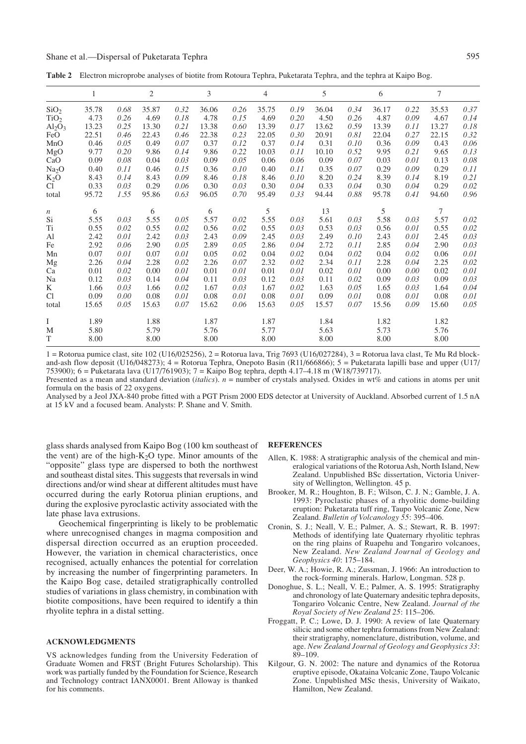### Shane et al.—Dispersal of Puketarata Tephra 595

**Table 2** Electron microprobe analyses of biotite from Rotoura Tephra, Puketarata Tephra, and the tephra at Kaipo Bog.

|                         | $\mathbf{1}$ |      | 2     |      | 3     |      | 4     |      | 5     |      | 6     |      | 7      |      |
|-------------------------|--------------|------|-------|------|-------|------|-------|------|-------|------|-------|------|--------|------|
| SiO <sub>2</sub>        | 35.78        | 0.68 | 35.87 | 0.32 | 36.06 | 0.26 | 35.75 | 0.19 | 36.04 | 0.34 | 36.17 | 0.22 | 35.53  | 0.37 |
| TiO <sub>2</sub>        | 4.73         | 0.26 | 4.69  | 0.18 | 4.78  | 0.15 | 4.69  | 0.20 | 4.50  | 0.26 | 4.87  | 0.09 | 4.67   | 0.14 |
| $\text{Al}_2\text{O}_3$ | 13.23        | 0.25 | 13.30 | 0.21 | 13.38 | 0.60 | 13.39 | 0.17 | 13.62 | 0.59 | 13.39 | 0.11 | 13.27  | 0.18 |
| FeO                     | 22.51        | 0.46 | 22.43 | 0.46 | 22.38 | 0.23 | 22.05 | 0.30 | 20.91 | 0.81 | 22.04 | 0.27 | 22.15  | 0.32 |
| MnO                     | 0.46         | 0.05 | 0.49  | 0.07 | 0.37  | 0.12 | 0.37  | 0.14 | 0.31  | 0.10 | 0.36  | 0.09 | 0.43   | 0.06 |
| MgO                     | 9.77         | 0.20 | 9.86  | 0.14 | 9.86  | 0.22 | 10.03 | 0.11 | 10.10 | 0.52 | 9.95  | 0.21 | 9.65   | 0.13 |
| CaO                     | 0.09         | 0.08 | 0.04  | 0.03 | 0.09  | 0.05 | 0.06  | 0.06 | 0.09  | 0.07 | 0.03  | 0.01 | 0.13   | 0.08 |
| Na <sub>2</sub> O       | 0.40         | 0.11 | 0.46  | 0.15 | 0.36  | 0.10 | 0.40  | 0.11 | 0.35  | 0.07 | 0.29  | 0.09 | 0.29   | 0.11 |
| $K_2O$                  | 8.43         | 0.14 | 8.43  | 0.09 | 8.46  | 0.18 | 8.46  | 0.10 | 8.20  | 0.24 | 8.39  | 0.14 | 8.19   | 0.21 |
| C <sub>1</sub>          | 0.33         | 0.03 | 0.29  | 0.06 | 0.30  | 0.03 | 0.30  | 0.04 | 0.33  | 0.04 | 0.30  | 0.04 | 0.29   | 0.02 |
| total                   | 95.72        | 1.55 | 95.86 | 0.63 | 96.05 | 0.70 | 95.49 | 0.33 | 94.44 | 0.88 | 95.78 | 0.41 | 94.60  | 0.96 |
| $\boldsymbol{n}$        | 6            |      | 6     |      | 6     |      | 5     |      | 13    |      | 5     |      | $\tau$ |      |
| Si                      | 5.55         | 0.03 | 5.55  | 0.05 | 5.57  | 0.02 | 5.55  | 0.03 | 5.61  | 0.03 | 5.58  | 0.03 | 5.57   | 0.02 |
| T <sub>i</sub>          | 0.55         | 0.02 | 0.55  | 0.02 | 0.56  | 0.02 | 0.55  | 0.03 | 0.53  | 0.03 | 0.56  | 0.01 | 0.55   | 0.02 |
| Al                      | 2.42         | 0.01 | 2.42  | 0.03 | 2.43  | 0.09 | 2.45  | 0.03 | 2.49  | 0.10 | 2.43  | 0.01 | 2.45   | 0.03 |
| Fe                      | 2.92         | 0.06 | 2.90  | 0.05 | 2.89  | 0.05 | 2.86  | 0.04 | 2.72  | 0.11 | 2.85  | 0.04 | 2.90   | 0.03 |
| Mn                      | 0.07         | 0.01 | 0.07  | 0.01 | 0.05  | 0.02 | 0.04  | 0.02 | 0.04  | 0.02 | 0.04  | 0.02 | 0.06   | 0.01 |
| Mg                      | 2.26         | 0.04 | 2.28  | 0.02 | 2.26  | 0.07 | 2.32  | 0.02 | 2.34  | 0.11 | 2.28  | 0.04 | 2.25   | 0.02 |
| Ca                      | 0.01         | 0.02 | 0.00  | 0.01 | 0.01  | 0.01 | 0.01  | 0.01 | 0.02  | 0.01 | 0.00  | 0.00 | 0.02   | 0.01 |
| Na                      | 0.12         | 0.03 | 0.14  | 0.04 | 0.11  | 0.03 | 0.12  | 0.03 | 0.11  | 0.02 | 0.09  | 0.03 | 0.09   | 0.03 |
| K                       | 1.66         | 0.03 | 1.66  | 0.02 | 1.67  | 0.03 | 1.67  | 0.02 | 1.63  | 0.05 | 1.65  | 0.03 | 1.64   | 0.04 |
| Cl                      | 0.09         | 0.00 | 0.08  | 0.01 | 0.08  | 0.01 | 0.08  | 0.01 | 0.09  | 0.01 | 0.08  | 0.01 | 0.08   | 0.01 |
| total                   | 15.65        | 0.05 | 15.63 | 0.07 | 15.62 | 0.06 | 15.63 | 0.05 | 15.57 | 0.07 | 15.56 | 0.09 | 15.60  | 0.05 |
| Ι                       | 1.89         |      | 1.88  |      | 1.87  |      | 1.87  |      | 1.84  |      | 1.82  |      | 1.82   |      |
| M                       | 5.80         |      | 5.79  |      | 5.76  |      | 5.77  |      | 5.63  |      | 5.73  |      | 5.76   |      |
| T                       | 8.00         |      | 8.00  |      | 8.00  |      | 8.00  |      | 8.00  |      | 8.00  |      | 8.00   |      |

 $1 =$  Rotorua pumice clast, site 102 (U16/025256),  $2 =$  Rotorua lava, Trig 7693 (U16/027284),  $3 =$  Rotorua lava clast, Te Mu Rd blockand-ash flow deposit (U16/048273); 4 = Rotorua Tephra, Onepoto Basin (R11/666866); 5 = Puketarata lapilli base and upper (U17/ 753900); 6 = Puketarata lava (U17/761903); 7 = Kaipo Bog tephra, depth 4.17–4.18 m (W18/739717).

Presented as a mean and standard deviation (*italics*). *n* = number of crystals analysed. Oxides in wt% and cations in atoms per unit formula on the basis of 22 oxygens.

Analysed by a Jeol JXA-840 probe fitted with a PGT Prism 2000 EDS detector at University of Auckland. Absorbed current of 1.5 nA at 15 kV and a focused beam. Analysts: P. Shane and V. Smith.

glass shards analysed from Kaipo Bog (100 km southeast of the vent) are of the high- $K<sub>2</sub>O$  type. Minor amounts of the "opposite" glass type are dispersed to both the northwest and southeast distal sites. This suggests that reversals in wind directions and/or wind shear at different altitudes must have occurred during the early Rotorua plinian eruptions, and during the explosive pyroclastic activity associated with the late phase lava extrusions.

Geochemical fingerprinting is likely to be problematic where unrecognised changes in magma composition and dispersal direction occurred as an eruption proceeded. However, the variation in chemical characteristics, once recognised, actually enhances the potential for correlation by increasing the number of fingerprinting parameters. In the Kaipo Bog case, detailed stratigraphically controlled studies of variations in glass chemistry, in combination with biotite compositions, have been required to identify a thin rhyolite tephra in a distal setting.

#### **ACKNOWLEDGMENTS**

VS acknowledges funding from the University Federation of Graduate Women and FRST (Bright Futures Scholarship). This work was partially funded by the Foundation for Science, Research and Technology contract IANX0001. Brent Alloway is thanked for his comments.

#### **REFERENCES**

- Allen, K. 1988: A stratigraphic analysis of the chemical and mineralogical variations of the Rotorua Ash, North Island, New Zealand. Unpublished BSc dissertation, Victoria University of Wellington, Wellington. 45 p.
- Brooker, M. R.; Houghton, B. F.; Wilson, C. J. N.; Gamble, J. A. 1993: Pyroclastic phases of a rhyolitic dome-building eruption: Puketarata tuff ring, Taupo Volcanic Zone, New Zealand. *Bulletin of Volcanology 55*: 395–406.
- Cronin, S. J.; Neall, V. E.; Palmer, A. S.; Stewart, R. B. 1997: Methods of identifying late Quaternary rhyolitic tephras on the ring plains of Ruapehu and Tongariro volcanoes, New Zealand. *New Zealand Journal of Geology and Geophysics 40*: 175–184.
- Deer, W. A.; Howie, R. A.; Zussman, J. 1966: An introduction to the rock-forming minerals. Harlow, Longman. 528 p.
- Donoghue, S. L.; Neall, V. E.; Palmer, A. S. 1995: Stratigraphy and chronology of late Quaternary andesitic tephra deposits, Tongariro Volcanic Centre, New Zealand. *Journal of the Royal Society of New Zealand 25*: 115–206.
- Froggatt, P. C.; Lowe, D. J. 1990: A review of late Quaternary silicic and some other tephra formations from New Zealand: their stratigraphy, nomenclature, distribution, volume, and age. *New Zealand Journal of Geology and Geophysics 33*: 89–109.
- Kilgour, G. N. 2002: The nature and dynamics of the Rotorua eruptive episode, Okataina Volcanic Zone, Taupo Volcanic Zone. Unpublished MSc thesis, University of Waikato, Hamilton, New Zealand.